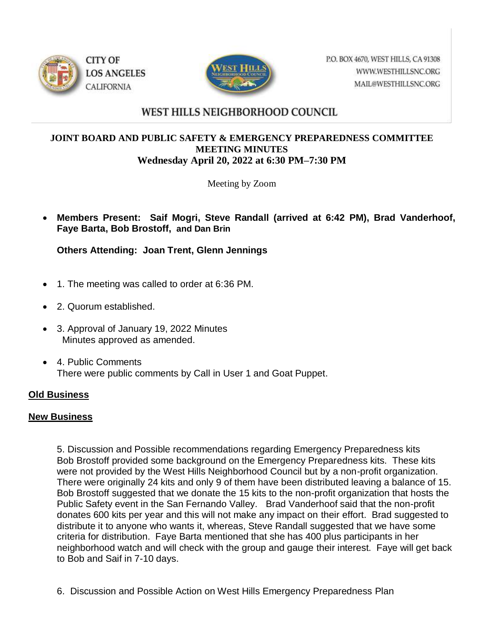



P.O. BOX 4670, WEST HILLS, CA 91308 WWW.WESTHILLSNC.ORG MAIL@WESTHILLSNC.ORG

## WEST HILLS NEIGHBORHOOD COUNCIL

## **JOINT BOARD AND PUBLIC SAFETY & EMERGENCY PREPAREDNESS COMMITTEE MEETING MINUTES Wednesday April 20, 2022 at 6:30 PM–7:30 PM**

Meeting by Zoom

 **Members Present: Saif Mogri, Steve Randall (arrived at 6:42 PM), Brad Vanderhoof, Faye Barta, Bob Brostoff, and Dan Brin**

**Others Attending: Joan Trent, Glenn Jennings**

- 1. The meeting was called to order at 6:36 PM.
- 2. Quorum established.
- 3. Approval of January 19, 2022 Minutes Minutes approved as amended.
- 4. Public Comments There were public comments by Call in User 1 and Goat Puppet.

## **Old Business**

## **New Business**

5. Discussion and Possible recommendations regarding Emergency Preparedness kits Bob Brostoff provided some background on the Emergency Preparedness kits. These kits were not provided by the West Hills Neighborhood Council but by a non-profit organization. There were originally 24 kits and only 9 of them have been distributed leaving a balance of 15. Bob Brostoff suggested that we donate the 15 kits to the non-profit organization that hosts the Public Safety event in the San Fernando Valley. Brad Vanderhoof said that the non-profit donates 600 kits per year and this will not make any impact on their effort. Brad suggested to distribute it to anyone who wants it, whereas, Steve Randall suggested that we have some criteria for distribution. Faye Barta mentioned that she has 400 plus participants in her neighborhood watch and will check with the group and gauge their interest. Faye will get back to Bob and Saif in 7-10 days.

6. Discussion and Possible Action on West Hills Emergency Preparedness Plan